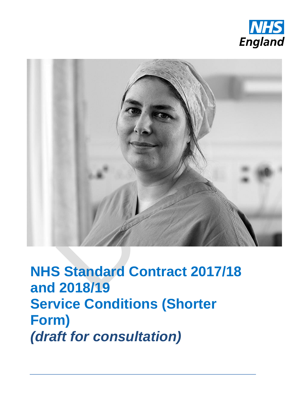



**NHS Standard Contract 2017/18 and 2018/19 Service Conditions (Shorter Form)** *(draft for consultation)*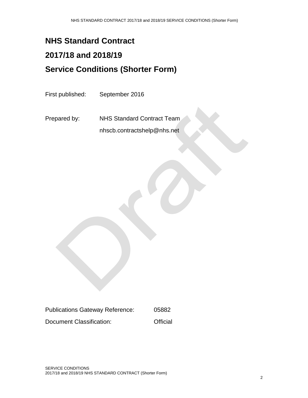### **NHS Standard Contract**

# **2017/18 and 2018/19**

## **Service Conditions (Shorter Form)**

First published: September 2016

Prepared by: NHS Standard Contract Team nhscb.contractshelp@nhs.net

| <b>Publications Gateway Reference:</b> | 05882    |
|----------------------------------------|----------|
| Document Classification:               | Official |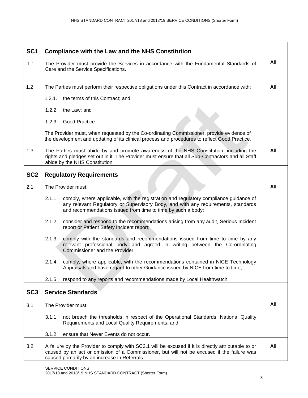| SC <sub>1</sub> | <b>Compliance with the Law and the NHS Constitution</b>                                                                                                                                                                                             |     |
|-----------------|-----------------------------------------------------------------------------------------------------------------------------------------------------------------------------------------------------------------------------------------------------|-----|
| 1.1.            | The Provider must provide the Services in accordance with the Fundamental Standards of<br>Care and the Service Specifications.                                                                                                                      | All |
| 1.2             | The Parties must perform their respective obligations under this Contract in accordance with:                                                                                                                                                       | All |
|                 | 1.2.1.<br>the terms of this Contract; and                                                                                                                                                                                                           |     |
|                 | 1.2.2. the Law; and                                                                                                                                                                                                                                 |     |
|                 | 1.2.3. Good Practice.                                                                                                                                                                                                                               |     |
|                 | The Provider must, when requested by the Co-ordinating Commissioner, provide evidence of<br>the development and updating of its clinical process and procedures to reflect Good Practice.                                                           |     |
| 1.3             | The Parties must abide by and promote awareness of the NHS Constitution, including the<br>rights and pledges set out in it. The Provider must ensure that all Sub-Contractors and all Staff<br>abide by the NHS Constitution.                       | All |
| SC <sub>2</sub> | <b>Regulatory Requirements</b>                                                                                                                                                                                                                      |     |
| 2.1             | The Provider must:                                                                                                                                                                                                                                  | All |
|                 | 2.1.1<br>comply, where applicable, with the registration and regulatory compliance guidance of<br>any relevant Regulatory or Supervisory Body, and with any requirements, standards<br>and recommendations issued from time to time by such a body; |     |
|                 | 2.1.2<br>consider and respond to the recommendations arising from any audit, Serious Incident<br>report or Patient Safety Incident report;                                                                                                          |     |
|                 | 2.1.3<br>comply with the standards and recommendations issued from time to time by any<br>relevant professional body and agreed in writing between the Co-ordinating<br>Commissioner and the Provider;                                              |     |
|                 | 2.1.4<br>comply, where applicable, with the recommendations contained in NICE Technology<br>Appraisals and have regard to other Guidance issued by NICE from time to time;                                                                          |     |
|                 | 2.1.5<br>respond to any reports and recommendations made by Local Healthwatch.                                                                                                                                                                      |     |
| SC <sub>3</sub> | <b>Service Standards</b>                                                                                                                                                                                                                            |     |
| 3.1             | The Provider must:                                                                                                                                                                                                                                  | All |
|                 | 3.1.1<br>not breach the thresholds in respect of the Operational Standards, National Quality<br>Requirements and Local Quality Requirements; and                                                                                                    |     |
|                 | 3.1.2<br>ensure that Never Events do not occur.                                                                                                                                                                                                     |     |
| 3.2             | A failure by the Provider to comply with SC3.1 will be excused if it is directly attributable to or<br>caused by an act or omission of a Commissioner, but will not be excused if the failure was<br>caused primarily by an increase in Referrals.  | All |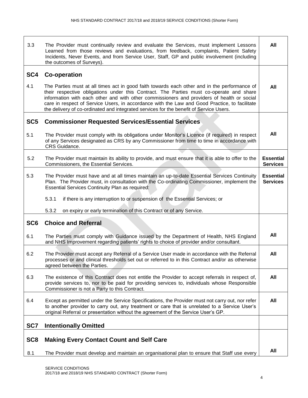| 3.3             | The Provider must continually review and evaluate the Services, must implement Lessons<br>Learned from those reviews and evaluations, from feedback, complaints, Patient Safety<br>Incidents, Never Events, and from Service User, Staff, GP and public involvement (including<br>the outcomes of Surveys).                                                                                                                                                                      | All                                 |
|-----------------|----------------------------------------------------------------------------------------------------------------------------------------------------------------------------------------------------------------------------------------------------------------------------------------------------------------------------------------------------------------------------------------------------------------------------------------------------------------------------------|-------------------------------------|
| SC4             | <b>Co-operation</b>                                                                                                                                                                                                                                                                                                                                                                                                                                                              |                                     |
| 4.1             | The Parties must at all times act in good faith towards each other and in the performance of<br>their respective obligations under this Contract. The Parties must co-operate and share<br>information with each other and with other commissioners and providers of health or social<br>care in respect of Service Users, in accordance with the Law and Good Practice, to facilitate<br>the delivery of co-ordinated and integrated services for the benefit of Service Users. | All                                 |
| SC <sub>5</sub> | <b>Commissioner Requested Services/Essential Services</b>                                                                                                                                                                                                                                                                                                                                                                                                                        |                                     |
| 5.1             | The Provider must comply with its obligations under Monitor's Licence (if required) in respect<br>of any Services designated as CRS by any Commissioner from time to time in accordance with<br>CRS Guidance.                                                                                                                                                                                                                                                                    | All                                 |
| 5.2             | The Provider must maintain its ability to provide, and must ensure that it is able to offer to the<br>Commissioners, the Essential Services.                                                                                                                                                                                                                                                                                                                                     | <b>Essential</b><br><b>Services</b> |
| 5.3             | The Provider must have and at all times maintain an up-to-date Essential Services Continuity<br>Plan. The Provider must, in consultation with the Co-ordinating Commissioner, implement the<br><b>Essential Services Continuity Plan as required:</b>                                                                                                                                                                                                                            | <b>Essential</b><br><b>Services</b> |
|                 | 5.3.1<br>if there is any interruption to or suspension of the Essential Services; or                                                                                                                                                                                                                                                                                                                                                                                             |                                     |
|                 | 5.3.2<br>on expiry or early termination of this Contract or of any Service.                                                                                                                                                                                                                                                                                                                                                                                                      |                                     |
| SC <sub>6</sub> | <b>Choice and Referral</b>                                                                                                                                                                                                                                                                                                                                                                                                                                                       |                                     |
| 6.1             | The Parties must comply with Guidance issued by the Department of Health, NHS England<br>and NHS Improvement regarding patients' rights to choice of provider and/or consultant.                                                                                                                                                                                                                                                                                                 | All                                 |
| 6.2             | The Provider must accept any Referral of a Service User made in accordance with the Referral<br>processes or and clinical thresholds set out or referred to in this Contract and/or as otherwise<br>agreed between the Parties.                                                                                                                                                                                                                                                  | All                                 |
| 6.3             | The existence of this Contract does not entitle the Provider to accept referrals in respect of,<br>provide services to, nor to be paid for providing services to, individuals whose Responsible<br>Commissioner is not a Party to this Contract.                                                                                                                                                                                                                                 | All                                 |
| 6.4             | Except as permitted under the Service Specifications, the Provider must not carry out, nor refer<br>to another provider to carry out, any treatment or care that is unrelated to a Service User's<br>original Referral or presentation without the agreement of the Service User's GP.                                                                                                                                                                                           | All                                 |
| SC7             | <b>Intentionally Omitted</b>                                                                                                                                                                                                                                                                                                                                                                                                                                                     |                                     |
|                 |                                                                                                                                                                                                                                                                                                                                                                                                                                                                                  |                                     |
| SC <sub>8</sub> | <b>Making Every Contact Count and Self Care</b>                                                                                                                                                                                                                                                                                                                                                                                                                                  |                                     |
| 8.1             | The Provider must develop and maintain an organisational plan to ensure that Staff use every                                                                                                                                                                                                                                                                                                                                                                                     | All                                 |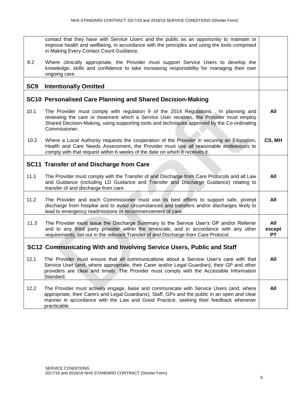|                 | contact that they have with Service Users and the public as an opportunity to maintain or<br>improve health and wellbeing, in accordance with the principles and using the tools comprised<br>in Making Every Contact Count Guidance.                                                              |                            |
|-----------------|----------------------------------------------------------------------------------------------------------------------------------------------------------------------------------------------------------------------------------------------------------------------------------------------------|----------------------------|
| 8.2             | Where clinically appropriate, the Provider must support Service Users to develop the<br>knowledge, skills and confidence to take increasing responsibility for managing their own<br>ongoing care.                                                                                                 |                            |
|                 |                                                                                                                                                                                                                                                                                                    |                            |
| SC <sub>9</sub> | <b>Intentionally Omitted</b>                                                                                                                                                                                                                                                                       |                            |
|                 | SC10 Personalised Care Planning and Shared Decision-Making                                                                                                                                                                                                                                         |                            |
| 10.1            | The Provider must comply with regulation 9 of the 2014 Regulations. In planning and<br>reviewing the care or treatment which a Service User receives, the Provider must employ<br>Shared Decision-Making, using supporting tools and techniques approved by the Co-ordinating<br>Commissioner.     | All                        |
| 10.2            | Where a Local Authority requests the cooperation of the Provider in securing an Education,<br>Health and Care Needs Assessment, the Provider must use all reasonable endeavours to<br>comply with that request within 6 weeks of the date on which it receives it.                                 | CS, MH                     |
|                 | SC11 Transfer of and Discharge from Care                                                                                                                                                                                                                                                           |                            |
| 11.1            | The Provider must comply with the Transfer of and Discharge from Care Protocols and all Law<br>and Guidance (including LD Guidance and Transfer and Discharge Guidance) relating to<br>transfer of and discharge from care.                                                                        | All                        |
| 11.2            | The Provider and each Commissioner must use its best efforts to support safe, prompt<br>discharge from hospital and to avoid circumstances and transfers and/or discharges likely to<br>lead to emergency readmissions or recommencement of care.                                                  | All                        |
| 11.3            | The Provider must issue the Discharge Summary to the Service User's GP and/or Referrer<br>and to any third party provider within the timescale, and in accordance with any other<br>requirements, set out in the relevant Transfer of and Discharge from Care Protocol.                            | All<br>except<br><b>PT</b> |
|                 | SC12 Communicating With and Involving Service Users, Public and Staff                                                                                                                                                                                                                              |                            |
| 12.1            | The Provider must ensure that all communications about a Service User's care with that<br>Service User (and, where appropriate, their Carer and/or Legal Guardian), their GP and other<br>providers are clear and timely. The Provider must comply with the Accessible Information<br>Standard.    | All                        |
| 12.2            | The Provider must actively engage, liaise and communicate with Service Users (and, where<br>appropriate, their Carers and Legal Guardians), Staff, GPs and the public in an open and clear<br>manner in accordance with the Law and Good Practice, seeking their feedback whenever<br>practicable. | All                        |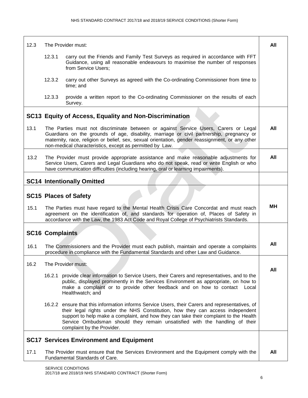| 12.3 |                        | The Provider must:                                                                                                                                                                                                                                                                                                                                                                      | All |
|------|------------------------|-----------------------------------------------------------------------------------------------------------------------------------------------------------------------------------------------------------------------------------------------------------------------------------------------------------------------------------------------------------------------------------------|-----|
|      | 12.3.1                 | carry out the Friends and Family Test Surveys as required in accordance with FFT<br>Guidance, using all reasonable endeavours to maximise the number of responses<br>from Service Users;                                                                                                                                                                                                |     |
|      | 12.3.2                 | carry out other Surveys as agreed with the Co-ordinating Commissioner from time to<br>time; and                                                                                                                                                                                                                                                                                         |     |
|      | 12.3.3                 | provide a written report to the Co-ordinating Commissioner on the results of each<br>Survey.                                                                                                                                                                                                                                                                                            |     |
|      |                        | SC13 Equity of Access, Equality and Non-Discrimination                                                                                                                                                                                                                                                                                                                                  |     |
| 13.1 |                        | The Parties must not discriminate between or against Service Users, Carers or Legal<br>Guardians on the grounds of age, disability, marriage or civil partnership, pregnancy or<br>maternity, race, religion or belief, sex, sexual orientation, gender reassignment, or any other<br>non-medical characteristics, except as permitted by Law.                                          | All |
| 13.2 |                        | The Provider must provide appropriate assistance and make reasonable adjustments for<br>Service Users, Carers and Legal Guardians who do not speak, read or write English or who<br>have communication difficulties (including hearing, oral or learning impairments).                                                                                                                  | All |
|      |                        | <b>SC14 Intentionally Omitted</b>                                                                                                                                                                                                                                                                                                                                                       |     |
|      |                        | <b>SC15 Places of Safety</b>                                                                                                                                                                                                                                                                                                                                                            |     |
| 15.1 |                        | The Parties must have regard to the Mental Health Crisis Care Concordat and must reach<br>agreement on the identification of, and standards for operation of, Places of Safety in<br>accordance with the Law, the 1983 Act Code and Royal College of Psychiatrists Standards.                                                                                                           | MН  |
|      | <b>SC16 Complaints</b> |                                                                                                                                                                                                                                                                                                                                                                                         |     |
| 16.1 |                        | The Commissioners and the Provider must each publish, maintain and operate a complaints<br>procedure in compliance with the Fundamental Standards and other Law and Guidance.                                                                                                                                                                                                           | All |
| 16.2 |                        | The Provider must:                                                                                                                                                                                                                                                                                                                                                                      |     |
|      |                        | 16.2.1 provide clear information to Service Users, their Carers and representatives, and to the<br>public, displayed prominently in the Services Environment as appropriate, on how to<br>make a complaint or to provide other feedback and on how to contact<br>Local<br>Healthwatch; and                                                                                              | All |
|      |                        | 16.2.2 ensure that this information informs Service Users, their Carers and representatives, of<br>their legal rights under the NHS Constitution, how they can access independent<br>support to help make a complaint, and how they can take their complaint to the Health<br>Service Ombudsman should they remain unsatisfied with the handling of their<br>complaint by the Provider. |     |
|      |                        | <b>SC17 Services Environment and Equipment</b>                                                                                                                                                                                                                                                                                                                                          |     |
| 17.1 |                        | The Provider must ensure that the Services Environment and the Equipment comply with the<br>Fundamental Standards of Care.                                                                                                                                                                                                                                                              | All |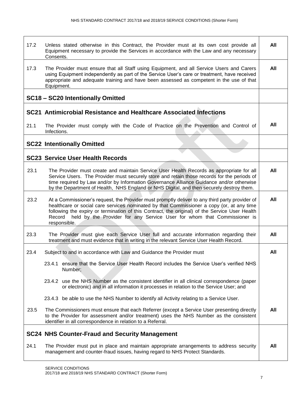| 17.2 | Unless stated otherwise in this Contract, the Provider must at its own cost provide all<br>Equipment necessary to provide the Services in accordance with the Law and any necessary<br>Consents.                                                                                                                                                                                                | All |
|------|-------------------------------------------------------------------------------------------------------------------------------------------------------------------------------------------------------------------------------------------------------------------------------------------------------------------------------------------------------------------------------------------------|-----|
| 17.3 | The Provider must ensure that all Staff using Equipment, and all Service Users and Carers<br>using Equipment independently as part of the Service User's care or treatment, have received<br>appropriate and adequate training and have been assessed as competent in the use of that<br>Equipment.                                                                                             | All |
|      | SC18 - SC20 Intentionally Omitted                                                                                                                                                                                                                                                                                                                                                               |     |
|      | SC21 Antimicrobial Resistance and Healthcare Associated Infections                                                                                                                                                                                                                                                                                                                              |     |
| 21.1 | The Provider must comply with the Code of Practice on the Prevention and Control of<br>Infections.                                                                                                                                                                                                                                                                                              | All |
|      | <b>SC22 Intentionally Omitted</b>                                                                                                                                                                                                                                                                                                                                                               |     |
|      | <b>SC23 Service User Health Records</b>                                                                                                                                                                                                                                                                                                                                                         |     |
| 23.1 | The Provider must create and maintain Service User Health Records as appropriate for all<br>Service Users. The Provider must securely store and retain those records for the periods of<br>time required by Law and/or by Information Governance Alliance Guidance and/or otherwise<br>by the Department of Health, NHS England or NHS Digital, and then securely destroy them.                 | All |
| 23.2 | At a Commissioner's request, the Provider must promptly deliver to any third party provider of<br>healthcare or social care services nominated by that Commissioner a copy (or, at any time<br>following the expiry or termination of this Contract, the original) of the Service User Health<br>Record held by the Provider for any Service User for whom that Commissioner is<br>responsible. | All |
| 23.3 | The Provider must give each Service User full and accurate information regarding their<br>treatment and must evidence that in writing in the relevant Service User Health Record.                                                                                                                                                                                                               | All |
| 23.4 | Subject to and in accordance with Law and Guidance the Provider must                                                                                                                                                                                                                                                                                                                            | All |
|      | 23.4.1 ensure that the Service User Health Record includes the Service User's verified NHS<br>Number:                                                                                                                                                                                                                                                                                           |     |
|      | 23.4.2 use the NHS Number as the consistent identifier in all clinical correspondence (paper<br>or electronic) and in all information it processes in relation to the Service User; and                                                                                                                                                                                                         |     |
|      | 23.4.3 be able to use the NHS Number to identify all Activity relating to a Service User.                                                                                                                                                                                                                                                                                                       |     |
| 23.5 | The Commissioners must ensure that each Referrer (except a Service User presenting directly<br>to the Provider for assessment and/or treatment) uses the NHS Number as the consistent<br>identifier in all correspondence in relation to a Referral.                                                                                                                                            | All |
|      | <b>SC24 NHS Counter-Fraud and Security Management</b>                                                                                                                                                                                                                                                                                                                                           |     |
| 24.1 | The Provider must put in place and maintain appropriate arrangements to address security<br>management and counter-fraud issues, having regard to NHS Protect Standards.                                                                                                                                                                                                                        | All |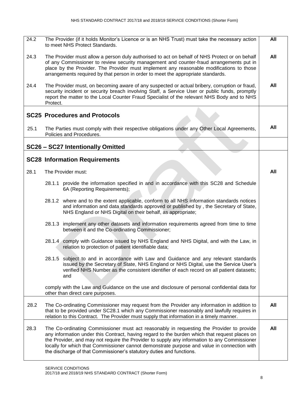| 24.2 | The Provider (if it holds Monitor's Licence or is an NHS Trust) must take the necessary action<br>to meet NHS Protect Standards.                                                                                                                                                                                                                                                                                                                                 | All |
|------|------------------------------------------------------------------------------------------------------------------------------------------------------------------------------------------------------------------------------------------------------------------------------------------------------------------------------------------------------------------------------------------------------------------------------------------------------------------|-----|
| 24.3 | The Provider must allow a person duly authorised to act on behalf of NHS Protect or on behalf<br>of any Commissioner to review security management and counter-fraud arrangements put in<br>place by the Provider. The Provider must implement any reasonable modifications to those<br>arrangements required by that person in order to meet the appropriate standards.                                                                                         | All |
| 24.4 | The Provider must, on becoming aware of any suspected or actual bribery, corruption or fraud,<br>security incident or security breach involving Staff, a Service User or public funds, promptly<br>report the matter to the Local Counter Fraud Specialist of the relevant NHS Body and to NHS<br>Protect.                                                                                                                                                       | All |
|      | <b>SC25 Procedures and Protocols</b>                                                                                                                                                                                                                                                                                                                                                                                                                             |     |
| 25.1 | The Parties must comply with their respective obligations under any Other Local Agreements,<br>Policies and Procedures.                                                                                                                                                                                                                                                                                                                                          | All |
|      | SC26 - SC27 Intentionally Omitted                                                                                                                                                                                                                                                                                                                                                                                                                                |     |
|      | <b>SC28 Information Requirements</b>                                                                                                                                                                                                                                                                                                                                                                                                                             |     |
| 28.1 | The Provider must:                                                                                                                                                                                                                                                                                                                                                                                                                                               | All |
|      | 28.1.1 provide the information specified in and in accordance with this SC28 and Schedule<br>6A (Reporting Requirements);                                                                                                                                                                                                                                                                                                                                        |     |
|      | 28.1.2 where and to the extent applicable, conform to all NHS information standards notices<br>and information and data standards approved or published by, the Secretary of State,<br>NHS England or NHS Digital on their behalf, as appropriate;                                                                                                                                                                                                               |     |
|      | 28.1.3 implement any other datasets and information requirements agreed from time to time<br>between it and the Co-ordinating Commissioner;                                                                                                                                                                                                                                                                                                                      |     |
|      | 28.1.4 comply with Guidance issued by NHS England and NHS Digital, and with the Law, in<br>relation to protection of patient identifiable data;                                                                                                                                                                                                                                                                                                                  |     |
|      | 28.1.5 subject to and in accordance with Law and Guidance and any relevant standards<br>issued by the Secretary of State, NHS England or NHS Digital, use the Service User's<br>verified NHS Number as the consistent identifier of each record on all patient datasets;<br>and                                                                                                                                                                                  |     |
|      | comply with the Law and Guidance on the use and disclosure of personal confidential data for<br>other than direct care purposes.                                                                                                                                                                                                                                                                                                                                 |     |
| 28.2 | The Co-ordinating Commissioner may request from the Provider any information in addition to<br>that to be provided under SC28.1 which any Commissioner reasonably and lawfully requires in<br>relation to this Contract. The Provider must supply that information in a timely manner.                                                                                                                                                                           | All |
| 28.3 | The Co-ordinating Commissioner must act reasonably in requesting the Provider to provide<br>any information under this Contract, having regard to the burden which that request places on<br>the Provider, and may not require the Provider to supply any information to any Commissioner<br>locally for which that Commissioner cannot demonstrate purpose and value in connection with<br>the discharge of that Commissioner's statutory duties and functions. | All |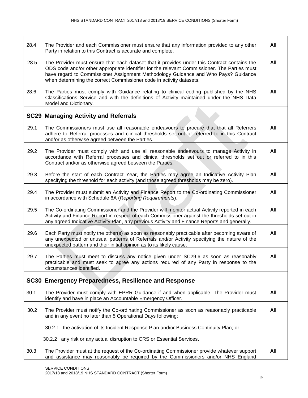| 28.4 | The Provider and each Commissioner must ensure that any information provided to any other<br>Party in relation to this Contract is accurate and complete.                                                                                                                                                                                                  | All |
|------|------------------------------------------------------------------------------------------------------------------------------------------------------------------------------------------------------------------------------------------------------------------------------------------------------------------------------------------------------------|-----|
| 28.5 | The Provider must ensure that each dataset that it provides under this Contract contains the<br>ODS code and/or other appropriate identifier for the relevant Commissioner. The Parties must<br>have regard to Commissioner Assignment Methodology Guidance and Who Pays? Guidance<br>when determining the correct Commissioner code in activity datasets. | All |
| 28.6 | The Parties must comply with Guidance relating to clinical coding published by the NHS<br>Classifications Service and with the definitions of Activity maintained under the NHS Data<br>Model and Dictionary.                                                                                                                                              | All |
|      | <b>SC29 Managing Activity and Referrals</b>                                                                                                                                                                                                                                                                                                                |     |
| 29.1 | The Commissioners must use all reasonable endeavours to procure that that all Referrers<br>adhere to Referral processes and clinical thresholds set out or referred to in this Contract<br>and/or as otherwise agreed between the Parties.                                                                                                                 | All |
| 29.2 | The Provider must comply with and use all reasonable endeavours to manage Activity in<br>accordance with Referral processes and clinical thresholds set out or referred to in this<br>Contract and/or as otherwise agreed between the Parties.                                                                                                             | All |
| 29.3 | Before the start of each Contract Year, the Parties may agree an Indicative Activity Plan<br>specifying the threshold for each activity (and those agreed thresholds may be zero).                                                                                                                                                                         | All |
| 29.4 | The Provider must submit an Activity and Finance Report to the Co-ordinating Commissioner<br>in accordance with Schedule 6A (Reporting Requirements).                                                                                                                                                                                                      | All |
| 29.5 | The Co-ordinating Commissioner and the Provider will monitor actual Activity reported in each<br>Activity and Finance Report in respect of each Commissioner against the thresholds set out in<br>any agreed Indicative Activity Plan, any previous Activity and Finance Reports and generally.                                                            | All |
| 29.6 | Each Party must notify the other(s) as soon as reasonably practicable after becoming aware of<br>any unexpected or unusual patterns of Referrals and/or Activity specifying the nature of the<br>unexpected pattern and their initial opinion as to its likely cause.                                                                                      | All |
| 29.7 | The Parties must meet to discuss any notice given under SC29.6 as soon as reasonably<br>practicable and must seek to agree any actions required of any Party in response to the<br>circumstances identified.                                                                                                                                               | All |
|      | SC30 Emergency Preparedness, Resilience and Response                                                                                                                                                                                                                                                                                                       |     |
| 30.1 | The Provider must comply with EPRR Guidance if and when applicable. The Provider must<br>identify and have in place an Accountable Emergency Officer.                                                                                                                                                                                                      | All |
| 30.2 | The Provider must notify the Co-ordinating Commissioner as soon as reasonably practicable<br>and in any event no later than 5 Operational Days following:                                                                                                                                                                                                  | All |
|      | 30.2.1 the activation of its Incident Response Plan and/or Business Continuity Plan; or                                                                                                                                                                                                                                                                    |     |
|      | 30.2.2 any risk or any actual disruption to CRS or Essential Services.                                                                                                                                                                                                                                                                                     |     |
| 30.3 | The Provider must at the request of the Co-ordinating Commissioner provide whatever support<br>and assistance may reasonably be required by the Commissioners and/or NHS England                                                                                                                                                                           | All |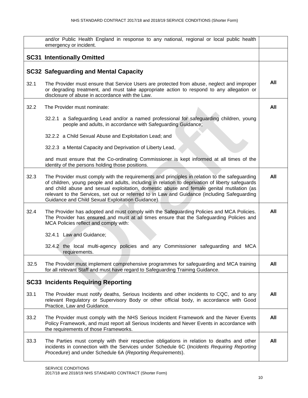|      | and/or Public Health England in response to any national, regional or local public health<br>emergency or incident.                                                                                                                                                                                                                                                                                                                                 |     |
|------|-----------------------------------------------------------------------------------------------------------------------------------------------------------------------------------------------------------------------------------------------------------------------------------------------------------------------------------------------------------------------------------------------------------------------------------------------------|-----|
|      | <b>SC31 Intentionally Omitted</b>                                                                                                                                                                                                                                                                                                                                                                                                                   |     |
|      | <b>SC32 Safeguarding and Mental Capacity</b>                                                                                                                                                                                                                                                                                                                                                                                                        |     |
| 32.1 | The Provider must ensure that Service Users are protected from abuse, neglect and improper<br>or degrading treatment, and must take appropriate action to respond to any allegation or<br>disclosure of abuse in accordance with the Law.                                                                                                                                                                                                           | All |
| 32.2 | The Provider must nominate:                                                                                                                                                                                                                                                                                                                                                                                                                         | All |
|      | 32.2.1 a Safeguarding Lead and/or a named professional for safeguarding children, young<br>people and adults, in accordance with Safeguarding Guidance;                                                                                                                                                                                                                                                                                             |     |
|      | 32.2.2 a Child Sexual Abuse and Exploitation Lead; and                                                                                                                                                                                                                                                                                                                                                                                              |     |
|      | 32.2.3 a Mental Capacity and Deprivation of Liberty Lead,                                                                                                                                                                                                                                                                                                                                                                                           |     |
|      | and must ensure that the Co-ordinating Commissioner is kept informed at all times of the<br>identity of the persons holding those positions.                                                                                                                                                                                                                                                                                                        |     |
| 32.3 | The Provider must comply with the requirements and principles in relation to the safeguarding<br>of children, young people and adults, including in relation to deprivation of liberty safeguards<br>and child abuse and sexual exploitation, domestic abuse and female genital mutilation (as<br>relevant to the Services, set out or referred to in Law and Guidance (including Safeguarding<br>Guidance and Child Sexual Exploitation Guidance). | All |
| 32.4 | The Provider has adopted and must comply with the Safeguarding Policies and MCA Policies.<br>The Provider has ensured and must at all times ensure that the Safeguarding Policies and<br>MCA Policies reflect and comply with:                                                                                                                                                                                                                      | All |
|      | 32.4.1 Law and Guidance;                                                                                                                                                                                                                                                                                                                                                                                                                            |     |
|      | 32.4.2 the local multi-agency policies and any Commissioner safeguarding and MCA<br>requirements.                                                                                                                                                                                                                                                                                                                                                   |     |
| 32.5 | The Provider must implement comprehensive programmes for safeguarding and MCA training<br>for all relevant Staff and must have regard to Safeguarding Training Guidance.                                                                                                                                                                                                                                                                            | All |
|      | <b>SC33 Incidents Requiring Reporting</b>                                                                                                                                                                                                                                                                                                                                                                                                           |     |
| 33.1 | The Provider must notify deaths, Serious Incidents and other incidents to CQC, and to any<br>relevant Regulatory or Supervisory Body or other official body, in accordance with Good<br>Practice, Law and Guidance.                                                                                                                                                                                                                                 | All |
| 33.2 | The Provider must comply with the NHS Serious Incident Framework and the Never Events<br>Policy Framework, and must report all Serious Incidents and Never Events in accordance with<br>the requirements of those Frameworks.                                                                                                                                                                                                                       | All |
| 33.3 | The Parties must comply with their respective obligations in relation to deaths and other<br>incidents in connection with the Services under Schedule 6C (Incidents Requiring Reporting<br>Procedure) and under Schedule 6A (Reporting Requirements).                                                                                                                                                                                               | All |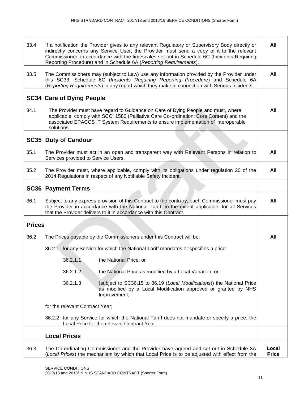| 33.4          | If a notification the Provider gives to any relevant Regulatory or Supervisory Body directly or<br>indirectly concerns any Service User, the Provider must send a copy of it to the relevant<br>Commissioner, in accordance with the timescales set out in Schedule 6C (Incidents Requiring<br>Reporting Procedure) and in Schedule 6A (Reporting Requirements). | All                   |
|---------------|------------------------------------------------------------------------------------------------------------------------------------------------------------------------------------------------------------------------------------------------------------------------------------------------------------------------------------------------------------------|-----------------------|
| 33.5          | The Commissioners may (subject to Law) use any information provided by the Provider under<br>this SC33, Schedule 6C (Incidents Requiring Reporting Procedure) and Schedule 6A<br>(Reporting Requirements) in any report which they make in connection with Serious Incidents.                                                                                    | All                   |
|               | <b>SC34 Care of Dying People</b>                                                                                                                                                                                                                                                                                                                                 |                       |
| 34.1          | The Provider must have regard to Guidance on Care of Dying People and must, where<br>applicable, comply with SCCI 1580 (Palliative Care Co-ordination: Core Content) and the<br>associated EPACCS IT System Requirements to ensure implementation of interoperable<br>solutions.                                                                                 | All                   |
|               | <b>SC35 Duty of Candour</b>                                                                                                                                                                                                                                                                                                                                      |                       |
| 35.1          | The Provider must act in an open and transparent way with Relevant Persons in relation to<br>Services provided to Service Users.                                                                                                                                                                                                                                 | All                   |
| 35.2          | The Provider must, where applicable, comply with its obligations under regulation 20 of the<br>2014 Regulations in respect of any Notifiable Safety Incident.                                                                                                                                                                                                    | All                   |
|               | <b>SC36 Payment Terms</b>                                                                                                                                                                                                                                                                                                                                        |                       |
| 36.1          | Subject to any express provision of this Contract to the contrary, each Commissioner must pay<br>the Provider in accordance with the National Tariff, to the extent applicable, for all Services<br>that the Provider delivers to it in accordance with this Contract.                                                                                           | All                   |
| <b>Prices</b> |                                                                                                                                                                                                                                                                                                                                                                  |                       |
| 36.2          | The Prices payable by the Commissioners under this Contract will be:                                                                                                                                                                                                                                                                                             | All                   |
|               | 36.2.1 for any Service for which the National Tariff mandates or specifies a price:                                                                                                                                                                                                                                                                              |                       |
|               | 36.2.1.1<br>the National Price; or                                                                                                                                                                                                                                                                                                                               |                       |
|               | 36.2.1.2<br>the National Price as modified by a Local Variation; or                                                                                                                                                                                                                                                                                              |                       |
|               | 36.2.1.3<br>(subject to SC36.15 to 36.19 (Local Modifications)) the National Price<br>as modified by a Local Modification approved or granted by NHS<br>Improvement,                                                                                                                                                                                             |                       |
|               | for the relevant Contract Year;                                                                                                                                                                                                                                                                                                                                  |                       |
|               | 36.2.2 for any Service for which the National Tariff does not mandate or specify a price, the<br>Local Price for the relevant Contract Year.                                                                                                                                                                                                                     |                       |
|               | <b>Local Prices</b>                                                                                                                                                                                                                                                                                                                                              |                       |
| 36.3          | The Co-ordinating Commissioner and the Provider have agreed and set out in Schedule 3A<br>(Local Prices) the mechanism by which that Local Price is to be adjusted with effect from the                                                                                                                                                                          | Local<br><b>Price</b> |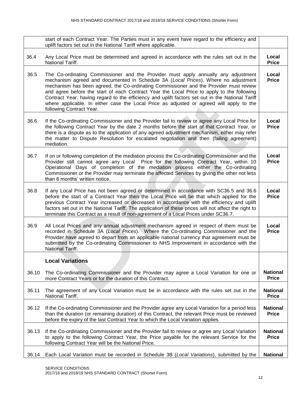|       | start of each Contract Year. The Parties must in any event have regard to the efficiency and<br>uplift factors set out in the National Tariff where applicable.                                                                                                                                                                                                                                                                                                                                                                                                                              |                                 |
|-------|----------------------------------------------------------------------------------------------------------------------------------------------------------------------------------------------------------------------------------------------------------------------------------------------------------------------------------------------------------------------------------------------------------------------------------------------------------------------------------------------------------------------------------------------------------------------------------------------|---------------------------------|
| 36.4  | Any Local Price must be determined and agreed in accordance with the rules set out in the<br>National Tariff.                                                                                                                                                                                                                                                                                                                                                                                                                                                                                | Local<br><b>Price</b>           |
| 36.5  | The Co-ordinating Commissioner and the Provider must apply annually any adjustment<br>mechanism agreed and documented in Schedule 3A (Local Prices). Where no adjustment<br>mechanism has been agreed, the Co-ordinating Commissioner and the Provider must review<br>and agree before the start of each Contract Year the Local Price to apply to the following<br>Contract Year, having regard to the efficiency and uplift factors set out in the National Tariff<br>where applicable. In either case the Local Price as adjusted or agreed will apply to the<br>following Contract Year. | Local<br><b>Price</b>           |
| 36.6  | If the Co-ordinating Commissioner and the Provider fail to review or agree any Local Price for<br>the following Contract Year by the date 2 months before the start of that Contract Year, or<br>there is a dispute as to the application of any agreed adjustment mechanism, either may refer<br>the matter to Dispute Resolution for escalated negotiation and then (failing agreement)<br>mediation.                                                                                                                                                                                      | Local<br><b>Price</b>           |
| 36.7  | If on or following completion of the mediation process the Co-ordinating Commissioner and the<br>Provider still cannot agree any Local Price for the following Contract Year, within 10<br>Operational Days of completion of the mediation process either the Co-ordinating<br>Commissioner or the Provider may terminate the affected Services by giving the other not less<br>than 6 months' written notice.                                                                                                                                                                               | Local<br><b>Price</b>           |
| 36.8  | If any Local Price has not been agreed or determined in accordance with SC36.5 and 36.6<br>before the start of a Contract Year then the Local Price will be that which applied for the<br>previous Contract Year increased or decreased in accordance with the efficiency and uplift<br>factors set out in the National Tariff. The application of these prices will not affect the right to<br>terminate this Contract as a result of non-agreement of a Local Prices under SC36.7.                                                                                                         | Local<br><b>Price</b>           |
| 36.9  | All Local Prices and any annual adjustment mechanism agreed in respect of them must be<br>recorded in Schedule 3A (Local Prices). Where the Co-ordinating Commissioner and the<br>Provider have agreed to depart from an applicable national currency that agreement must be<br>submitted by the Co-ordinating Commissioner to NHS Improvement in accordance with the<br>National Tariff.                                                                                                                                                                                                    | Local<br><b>Price</b>           |
|       | <b>Local Variations</b>                                                                                                                                                                                                                                                                                                                                                                                                                                                                                                                                                                      |                                 |
| 36.10 | The Co-ordinating Commissioner and the Provider may agree a Local Variation for one or<br>more Contract Years or for the duration of this Contract.                                                                                                                                                                                                                                                                                                                                                                                                                                          | <b>National</b><br><b>Price</b> |
| 36.11 | The agreement of any Local Variation must be in accordance with the rules set out in the<br>National Tariff.                                                                                                                                                                                                                                                                                                                                                                                                                                                                                 | <b>National</b><br><b>Price</b> |
| 36.12 | If the Co-ordinating Commissioner and the Provider agree any Local Variation for a period less<br>than the duration (or remaining duration) of this Contract, the relevant Price must be reviewed<br>before the expiry of the last Contract Year to which the Local Variation applies.                                                                                                                                                                                                                                                                                                       | <b>National</b><br><b>Price</b> |
| 36.13 | If the Co-ordinating Commissioner and the Provider fail to review or agree any Local Variation<br>to apply to the following Contract Year, the Price payable for the relevant Service for the<br>following Contract Year will be the National Price.                                                                                                                                                                                                                                                                                                                                         | <b>National</b><br><b>Price</b> |
| 36.14 | Each Local Variation must be recorded in Schedule 3B (Local Variations), submitted by the                                                                                                                                                                                                                                                                                                                                                                                                                                                                                                    | <b>National</b>                 |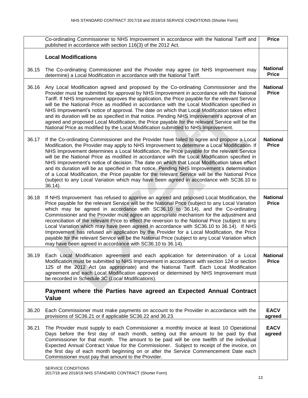|       | Co-ordinating Commissioner to NHS Improvement in accordance with the National Tariff and<br>published in accordance with section 116(3) of the 2012 Act.                                                                                                                                                                                                                                                                                                                                                                                                                                                                                                                                                                                                                                                                                       | <b>Price</b>                    |
|-------|------------------------------------------------------------------------------------------------------------------------------------------------------------------------------------------------------------------------------------------------------------------------------------------------------------------------------------------------------------------------------------------------------------------------------------------------------------------------------------------------------------------------------------------------------------------------------------------------------------------------------------------------------------------------------------------------------------------------------------------------------------------------------------------------------------------------------------------------|---------------------------------|
|       | <b>Local Modifications</b>                                                                                                                                                                                                                                                                                                                                                                                                                                                                                                                                                                                                                                                                                                                                                                                                                     |                                 |
| 36.15 | The Co-ordinating Commissioner and the Provider may agree (or NHS Improvement may<br>determine) a Local Modification in accordance with the National Tariff.                                                                                                                                                                                                                                                                                                                                                                                                                                                                                                                                                                                                                                                                                   | <b>National</b><br><b>Price</b> |
| 36.16 | Any Local Modification agreed and proposed by the Co-ordinating Commissioner and the<br>Provider must be submitted for approval by NHS Improvement in accordance with the National<br>Tariff. If NHS Improvement approves the application, the Price payable for the relevant Service<br>will be the National Price as modified in accordance with the Local Modification specified in<br>NHS Improvement's notice of approval. The date on which that Local Modification takes effect<br>and its duration will be as specified in that notice. Pending NHS Improvement's approval of an<br>agreed and proposed Local Modification, the Price payable for the relevant Service will be the<br>National Price as modified by the Local Modification submitted to NHS Improvement.                                                               | <b>National</b><br><b>Price</b> |
| 36.17 | If the Co-ordinating Commissioner and the Provider have failed to agree and propose a Local<br>Modification, the Provider may apply to NHS Improvement to determine a Local Modification. If<br>NHS Improvement determines a Local Modification, the Price payable for the relevant Service<br>will be the National Price as modified in accordance with the Local Modification specified in<br>NHS Improvement's notice of decision. The date on which that Local Modification takes effect<br>and its duration will be as specified in that notice. Pending NHS Improvement's determination<br>of a Local Modification, the Price payable for the relevant Service will be the National Price<br>(subject to any Local Variation which may have been agreed in accordance with SC36.10 to<br>$36.14$ ).                                      | <b>National</b><br><b>Price</b> |
| 36.18 | If NHS Improvement has refused to approve an agreed and proposed Local Modification, the<br>Price payable for the relevant Service will be the National Price (subject to any Local Variation<br>which may be agreed in accordance with SC36.10 to 36.14), and the Co-ordinating<br>Commissioner and the Provider must agree an appropriate mechanism for the adjustment and<br>reconciliation of the relevant Price to effect the reversion to the National Price (subject to any<br>Local Variation which may have been agreed in accordance with SC36.10 to 36.14). If NHS<br>Improvement has refused an application by the Provider for a Local Modification, the Price<br>payable for the relevant Service will be the National Price (subject to any Local Variation which<br>may have been agreed in accordance with SC36.10 to 36.14). | <b>National</b><br><b>Price</b> |
| 36.19 | Each Local Modification agreement and each application for determination of a Local<br>Modification must be submitted to NHS Improvement in accordance with section 124 or section<br>125 of the 2012 Act (as appropriate) and the National Tariff. Each Local Modification<br>agreement and each Local Modification approved or determined by NHS Improvement must<br>be recorded in Schedule 3C (Local Modifications).                                                                                                                                                                                                                                                                                                                                                                                                                       | <b>National</b><br><b>Price</b> |
|       | Payment where the Parties have agreed an Expected Annual Contract<br><b>Value</b>                                                                                                                                                                                                                                                                                                                                                                                                                                                                                                                                                                                                                                                                                                                                                              |                                 |
| 36.20 | Each Commissioner must make payments on account to the Provider in accordance with the<br>provisions of SC36.21 or if applicable SC36.22 and 36.23.                                                                                                                                                                                                                                                                                                                                                                                                                                                                                                                                                                                                                                                                                            | <b>EACV</b><br>agreed           |
| 36.21 | The Provider must supply to each Commissioner a monthly invoice at least 10 Operational<br>Days before the first day of each month, setting out the amount to be paid by that<br>Commissioner for that month. The amount to be paid will be one twelfth of the individual<br>Expected Annual Contract Value for the Commissioner. Subject to receipt of the invoice, on<br>the first day of each month beginning on or after the Service Commencement Date each<br>Commissioner must pay that amount to the Provider.                                                                                                                                                                                                                                                                                                                          | <b>EACV</b><br>agreed           |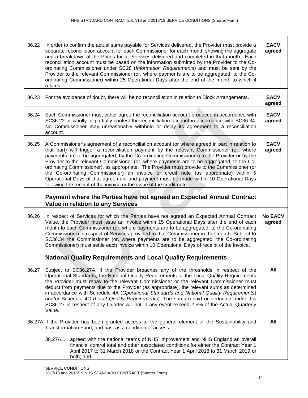| 36.22                                                                                                                                                      | In order to confirm the actual sums payable for Services delivered, the Provider must provide a<br>separate reconciliation account for each Commissioner for each month showing the aggregate<br>and a breakdown of the Prices for all Services delivered and completed in that month. Each<br>reconciliation account must be based on the information submitted by the Provider to the Co-<br>ordinating Commissioner under SC28 (Information Requirements) and must be sent by the<br>Provider to the relevant Commissioner (or, where payments are to be aggregated, to the Co-<br>ordinating Commissioner) within 25 Operational Days after the end of the month to which it<br>relates.                                                     | <b>EACV</b><br>agreed    |
|------------------------------------------------------------------------------------------------------------------------------------------------------------|--------------------------------------------------------------------------------------------------------------------------------------------------------------------------------------------------------------------------------------------------------------------------------------------------------------------------------------------------------------------------------------------------------------------------------------------------------------------------------------------------------------------------------------------------------------------------------------------------------------------------------------------------------------------------------------------------------------------------------------------------|--------------------------|
| 36.23                                                                                                                                                      | For the avoidance of doubt, there will be no reconciliation in relation to Block Arrangements.                                                                                                                                                                                                                                                                                                                                                                                                                                                                                                                                                                                                                                                   | <b>EACV</b><br>agreed    |
| 36.24                                                                                                                                                      | Each Commissioner must either agree the reconciliation account produced in accordance with<br>SC36.22 or wholly or partially contest the reconciliation account in accordance with SC36.34.<br>No Commissioner may unreasonably withhold or delay its agreement to a reconciliation<br>account.                                                                                                                                                                                                                                                                                                                                                                                                                                                  | <b>EACV</b><br>agreed    |
| 36.25                                                                                                                                                      | A Commissioner's agreement of a reconciliation account (or where agreed in part in relation to<br>that part) will trigger a reconciliation payment by the relevant Commissioner (or, where<br>payments are to be aggregated, by the Co-ordinating Commissioner) to the Provider or by the<br>Provider to the relevant Commissioner (or, where payments are to be aggregated, to the Co-<br>ordinating Commissioner), as appropriate. The Provider must provide to the Commissioner (or<br>the Co-ordinating Commissioner) an invoice or credit note (as appropriate) within 5<br>Operational Days of that agreement and payment must be made within 10 Operational Days<br>following the receipt of the invoice or the issue of the credit note. | <b>EACV</b><br>agreed    |
|                                                                                                                                                            | Payment where the Parties have not agreed an Expected Annual Contract<br><b>Value in relation to any Services</b>                                                                                                                                                                                                                                                                                                                                                                                                                                                                                                                                                                                                                                |                          |
| 36.26                                                                                                                                                      | In respect of Services for which the Parties have not agreed an Expected Annual Contract<br>Value, the Provider must issue an invoice within 15 Operational Days after the end of each<br>month to each Commissioner (or, where payments are to be aggregated, to the Co-ordinating<br>Commissioner) in respect of Services provided to that Commissioner in that month. Subject to<br>SC36.34 the Commissioner (or, where payments are to be aggregated, the Co-ordinating<br>Commissioner) must settle each invoice within 10 Operational Days of receipt of the invoice.                                                                                                                                                                      | <b>No EACV</b><br>agreed |
|                                                                                                                                                            | <b>National Quality Requirements and Local Quality Requirements</b>                                                                                                                                                                                                                                                                                                                                                                                                                                                                                                                                                                                                                                                                              |                          |
| 36.27                                                                                                                                                      | Subject to SC36.27A, if the Provider breaches any of the thresholds in respect of the<br>Operational Standards, the National Quality Requirements or the Local Quality Requirements<br>the Provider must repay to the relevant Commissioner or the relevant Commissioner must<br>deduct from payments due to the Provider (as appropriate), the relevant sums as determined<br>in accordance with Schedule 4A (Operational Standards and National Quality Requirements)<br>and/or Schedule 4C (Local Quality Requirements). The sums repaid or deducted under this<br>SC36.27 in respect of any Quarter will not in any event exceed 2.5% of the Actual Quarterly<br>Value.                                                                      | All                      |
| 36.27A If the Provider has been granted access to the general element of the Sustainability and<br>Transformation Fund, and has, as a condition of access: |                                                                                                                                                                                                                                                                                                                                                                                                                                                                                                                                                                                                                                                                                                                                                  |                          |
|                                                                                                                                                            | 36.27A.1<br>agreed with the national teams of NHS Improvement and NHS England an overall<br>financial control total and other associated conditions for either the Contract Year 1<br>April 2017 to 31 March 2018 or the Contract Year 1 April 2018 to 31 March 2019 or<br>both; and                                                                                                                                                                                                                                                                                                                                                                                                                                                             |                          |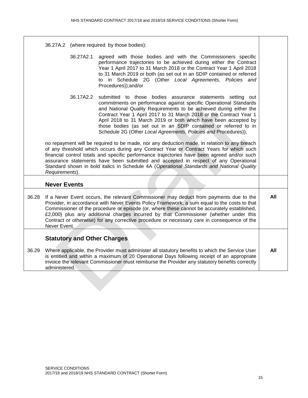|  | 36.27A.2 (where required by those bodies): |
|--|--------------------------------------------|
|  |                                            |

- 36.27A2.1 agreed with those bodies and with the Commissioners specific performance trajectories to be achieved during either the Contract Year 1 April 2017 to 31 March 2018 or the Contract Year 1 April 2018 to 31 March 2019 or both (as set out in an SDIP contained or referred to in Schedule 2G (*Other Local Agreements, Policies and*  Procedures));and/or
- 36.17A2.2 submitted to those bodies assurance statements setting out commitments on performance against specific Operational Standards and National Quality Requirements to be achieved during either the Contract Year 1 April 2017 to 31 March 2018 or the Contract Year 1 April 2018 to 31 March 2019 or both which have been accepted by those bodies (as set out in an SDIP contained or referred to in Schedule 2G (*Other Local Agreements, Policies and* Procedures)),

no repayment will be required to be made, nor any deduction made, in relation to any breach of any threshold which occurs during any Contract Year or Contract Years for which such financial control totals and specific performance trajectories have been agreed and/or such assurance statements have been submitted and accepted in respect of any Operational Standard shown in bold italics in Schedule 4A (*Operational Standards and National Quality Requirements*).

#### **Never Events**

36.28 If a Never Event occurs, the relevant Commissioner may deduct from payments due to the Provider, in accordance with Never Events Policy Framework, a sum equal to the costs to that Commissioner of the procedure or episode (or, where these cannot be accurately established, £2,000) plus any additional charges incurred by that Commissioner (whether under this Contract or otherwise) for any corrective procedure or necessary care in consequence of the Never Event. **All**

#### **Statutory and Other Charges**

36.29 Where applicable, the Provider must administer all statutory benefits to which the Service User is entitled and within a maximum of 20 Operational Days following receipt of an appropriate invoice the relevant Commissioner must reimburse the Provider any statutory benefits correctly administered. **All**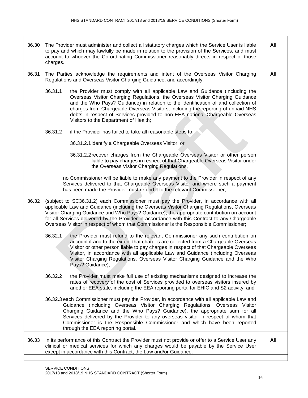36.30 The Provider must administer and collect all statutory charges which the Service User is liable to pay and which may lawfully be made in relation to the provision of the Services, and must account to whoever the Co-ordinating Commissioner reasonably directs in respect of those charges. 36.31 The Parties acknowledge the requirements and intent of the Overseas Visitor Charging Regulations and Overseas Visitor Charging Guidance, and accordingly: 36.31.1 the Provider must comply with all applicable Law and Guidance (including the Overseas Visitor Charging Regulations, the Overseas Visitor Charging Guidance and the Who Pays? Guidance) in relation to the identification of and collection of charges from Chargeable Overseas Visitors, including the reporting of unpaid NHS debts in respect of Services provided to non-EEA national Chargeable Overseas Visitors to the Department of Health; 36.31.2 if the Provider has failed to take all reasonable steps to: 36.31.2.1identify a Chargeable Overseas Visitor; or 36.31.2.2recover charges from the Chargeable Overseas Visitor or other person liable to pay charges in respect of that Chargeable Overseas Visitor under the Overseas Visitor Charging Regulations, no Commissioner will be liable to make any payment to the Provider in respect of any Services delivered to that Chargeable Overseas Visitor and where such a payment has been made the Provider must refund it to the relevant Commissioner; 36.32 (subject to SC36.31.2) each Commissioner must pay the Provider, in accordance with all applicable Law and Guidance (including the Overseas Visitor Charging Regulations, Overseas Visitor Charging Guidance and Who Pays? Guidance), the appropriate contribution on account for all Services delivered by the Provider in accordance with this Contract to any Chargeable Overseas Visitor in respect of whom that Commissioner is the Responsible Commissioner; 36.32.1 the Provider must refund to the relevant Commissioner any such contribution on account if and to the extent that charges are collected from a Chargeable Overseas Visitor or other person liable to pay charges in respect of that Chargeable Overseas Visitor, in accordance with all applicable Law and Guidance (including Overseas Visitor Charging Regulations, Overseas Visitor Charging Guidance and the Who Pays? Guidance); 36.32.2 the Provider must make full use of existing mechanisms designed to increase the rates of recovery of the cost of Services provided to overseas visitors insured by another EEA state, including the EEA reporting portal for EHIC and S2 activity; and 36.32.3 each Commissioner must pay the Provider, in accordance with all applicable Law and Guidance (including Overseas Visitor Charging Regulations, Overseas Visitor Charging Guidance and the Who Pays? Guidance), the appropriate sum for all Services delivered by the Provider to any overseas visitor in respect of whom that Commissioner is the Responsible Commissioner and which have been reported through the EEA reporting portal. **All All** 36.33 In its performance of this Contract the Provider must not provide or offer to a Service User any clinical or medical services for which any charges would be payable by the Service User **All**

except in accordance with this Contract, the Law and/or Guidance.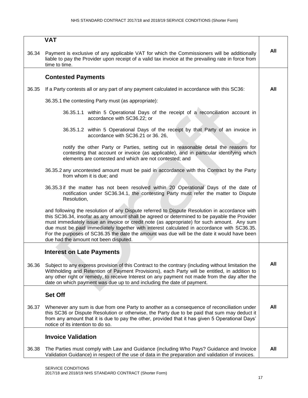|       | <b>VAT</b>                                                                                                                                                                                                                                                                                                                                                                                                                                                                                                                        |     |
|-------|-----------------------------------------------------------------------------------------------------------------------------------------------------------------------------------------------------------------------------------------------------------------------------------------------------------------------------------------------------------------------------------------------------------------------------------------------------------------------------------------------------------------------------------|-----|
| 36.34 | Payment is exclusive of any applicable VAT for which the Commissioners will be additionally<br>liable to pay the Provider upon receipt of a valid tax invoice at the prevailing rate in force from<br>time to time.                                                                                                                                                                                                                                                                                                               | All |
|       | <b>Contested Payments</b>                                                                                                                                                                                                                                                                                                                                                                                                                                                                                                         |     |
| 36.35 | If a Party contests all or any part of any payment calculated in accordance with this SC36:                                                                                                                                                                                                                                                                                                                                                                                                                                       | All |
|       | 36.35.1 the contesting Party must (as appropriate):                                                                                                                                                                                                                                                                                                                                                                                                                                                                               |     |
|       | 36.35.1.1 within 5 Operational Days of the receipt of a reconciliation account in<br>accordance with SC36.22; or                                                                                                                                                                                                                                                                                                                                                                                                                  |     |
|       | 36.35.1.2 within 5 Operational Days of the receipt by that Party of an invoice in<br>accordance with SC36.21 or 36. 26,                                                                                                                                                                                                                                                                                                                                                                                                           |     |
|       | notify the other Party or Parties, setting out in reasonable detail the reasons for<br>contesting that account or invoice (as applicable), and in particular identifying which<br>elements are contested and which are not contested; and                                                                                                                                                                                                                                                                                         |     |
|       | 36.35.2 any uncontested amount must be paid in accordance with this Contract by the Party<br>from whom it is due; and                                                                                                                                                                                                                                                                                                                                                                                                             |     |
|       | 36.35.3 if the matter has not been resolved within 20 Operational Days of the date of<br>notification under SC36.34.1, the contesting Party must refer the matter to Dispute<br>Resolution,                                                                                                                                                                                                                                                                                                                                       |     |
|       | and following the resolution of any Dispute referred to Dispute Resolution in accordance with<br>this SC36.34, insofar as any amount shall be agreed or determined to be payable the Provider<br>must immediately issue an invoice or credit note (as appropriate) for such amount. Any sum<br>due must be paid immediately together with interest calculated in accordance with SC36.35.<br>For the purposes of SC36.35 the date the amount was due will be the date it would have been<br>due had the amount not been disputed. |     |
|       | <b>Interest on Late Payments</b>                                                                                                                                                                                                                                                                                                                                                                                                                                                                                                  |     |
| 36.36 | Subject to any express provision of this Contract to the contrary (including without limitation the<br>Withholding and Retention of Payment Provisions), each Party will be entitled, in addition to<br>any other right or remedy, to receive Interest on any payment not made from the day after the<br>date on which payment was due up to and including the date of payment.                                                                                                                                                   | All |
|       | <b>Set Off</b>                                                                                                                                                                                                                                                                                                                                                                                                                                                                                                                    |     |
| 36.37 | Whenever any sum is due from one Party to another as a consequence of reconciliation under<br>this SC36 or Dispute Resolution or otherwise, the Party due to be paid that sum may deduct it<br>from any amount that it is due to pay the other, provided that it has given 5 Operational Days'<br>notice of its intention to do so.                                                                                                                                                                                               | All |
|       | <b>Invoice Validation</b>                                                                                                                                                                                                                                                                                                                                                                                                                                                                                                         |     |
| 36.38 | The Parties must comply with Law and Guidance (including Who Pays? Guidance and Invoice<br>Validation Guidance) in respect of the use of data in the preparation and validation of invoices.                                                                                                                                                                                                                                                                                                                                      | All |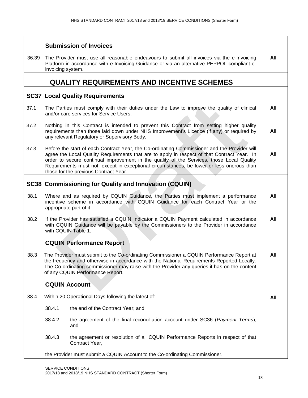|       |                   | <b>Submission of Invoices</b>                                                                                                                                                                                                                                                                                                                                                                                                  |     |
|-------|-------------------|--------------------------------------------------------------------------------------------------------------------------------------------------------------------------------------------------------------------------------------------------------------------------------------------------------------------------------------------------------------------------------------------------------------------------------|-----|
| 36.39 | invoicing system. | The Provider must use all reasonable endeavours to submit all invoices via the e-Invoicing<br>Platform in accordance with e-Invoicing Guidance or via an alternative PEPPOL-compliant e-                                                                                                                                                                                                                                       | All |
|       |                   | <b>QUALITY REQUIREMENTS AND INCENTIVE SCHEMES</b>                                                                                                                                                                                                                                                                                                                                                                              |     |
|       |                   | <b>SC37 Local Quality Requirements</b>                                                                                                                                                                                                                                                                                                                                                                                         |     |
| 37.1  |                   | The Parties must comply with their duties under the Law to improve the quality of clinical<br>and/or care services for Service Users.                                                                                                                                                                                                                                                                                          | All |
| 37.2  |                   | Nothing in this Contract is intended to prevent this Contract from setting higher quality<br>requirements than those laid down under NHS Improvement's Licence (if any) or required by<br>any relevant Regulatory or Supervisory Body.                                                                                                                                                                                         | All |
| 37.3  |                   | Before the start of each Contract Year, the Co-ordinating Commissioner and the Provider will<br>agree the Local Quality Requirements that are to apply in respect of that Contract Year. In<br>order to secure continual improvement in the quality of the Services, those Local Quality<br>Requirements must not, except in exceptional circumstances, be lower or less onerous than<br>those for the previous Contract Year. | All |
|       |                   | <b>SC38 Commissioning for Quality and Innovation (CQUIN)</b>                                                                                                                                                                                                                                                                                                                                                                   |     |
| 38.1  |                   | Where and as required by CQUIN Guidance, the Parties must implement a performance<br>incentive scheme in accordance with CQUIN Guidance for each Contract Year or the<br>appropriate part of it.                                                                                                                                                                                                                               | All |
| 38.2  |                   | If the Provider has satisfied a CQUIN Indicator a CQUIN Payment calculated in accordance<br>with CQUIN Guidance will be payable by the Commissioners to the Provider in accordance<br>with CQUIN Table 1.                                                                                                                                                                                                                      | All |
|       |                   | <b>CQUIN Performance Report</b>                                                                                                                                                                                                                                                                                                                                                                                                |     |
| 38.3  |                   | The Provider must submit to the Co-ordinating Commissioner a CQUIN Performance Report at<br>the frequency and otherwise in accordance with the National Requirements Reported Locally.<br>The Co-ordinating commissioner may raise with the Provider any queries it has on the content<br>of any CQUIN Performance Report.                                                                                                     | All |
|       |                   | <b>CQUIN Account</b>                                                                                                                                                                                                                                                                                                                                                                                                           |     |
| 38.4  |                   | Within 20 Operational Days following the latest of:                                                                                                                                                                                                                                                                                                                                                                            | All |
|       | 38.4.1            | the end of the Contract Year; and                                                                                                                                                                                                                                                                                                                                                                                              |     |
|       | 38.4.2            | the agreement of the final reconciliation account under SC36 (Payment Terms);<br>and                                                                                                                                                                                                                                                                                                                                           |     |
|       | 38.4.3            | the agreement or resolution of all CQUIN Performance Reports in respect of that<br>Contract Year,                                                                                                                                                                                                                                                                                                                              |     |
|       |                   | the Provider must submit a CQUIN Account to the Co-ordinating Commissioner.                                                                                                                                                                                                                                                                                                                                                    |     |